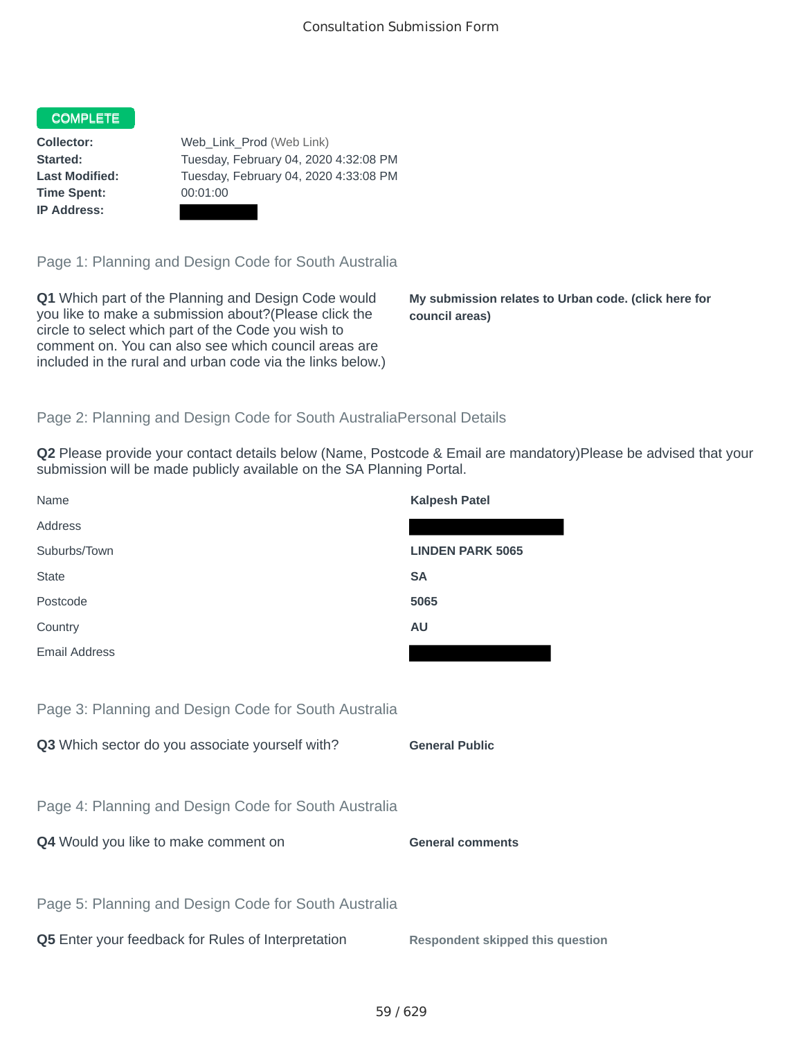## COMPLETE

**Time Spent:** 00:01:00 **IP Address:**

**Collector:** Web\_Link\_Prod (Web Link) **Started:** Tuesday, February 04, 2020 4:32:08 PM **Last Modified:** Tuesday, February 04, 2020 4:33:08 PM

Page 1: Planning and Design Code for South Australia

**Q1** Which part of the Planning and Design Code would you like to make a submission about?(Please click the circle to select which part of the Code you wish to comment on. You can also see which council areas are included in the rural and urban code via the links below.)

**My submission relates to Urban code. (click here for council areas)**

## Page 2: Planning and Design Code for South AustraliaPersonal Details

**Q2** Please provide your contact details below (Name, Postcode & Email are mandatory)Please be advised that your submission will be made publicly available on the SA Planning Portal.

| Name                                                 | <b>Kalpesh Patel</b>                    |
|------------------------------------------------------|-----------------------------------------|
| Address                                              |                                         |
| Suburbs/Town                                         | <b>LINDEN PARK 5065</b>                 |
| <b>State</b>                                         | <b>SA</b>                               |
| Postcode                                             | 5065                                    |
| Country                                              | <b>AU</b>                               |
| <b>Email Address</b>                                 |                                         |
|                                                      |                                         |
| Page 3: Planning and Design Code for South Australia |                                         |
| Q3 Which sector do you associate yourself with?      | <b>General Public</b>                   |
|                                                      |                                         |
| Page 4: Planning and Design Code for South Australia |                                         |
| Q4 Would you like to make comment on                 | <b>General comments</b>                 |
|                                                      |                                         |
| Page 5: Planning and Design Code for South Australia |                                         |
| Q5 Enter your feedback for Rules of Interpretation   | <b>Respondent skipped this question</b> |
|                                                      |                                         |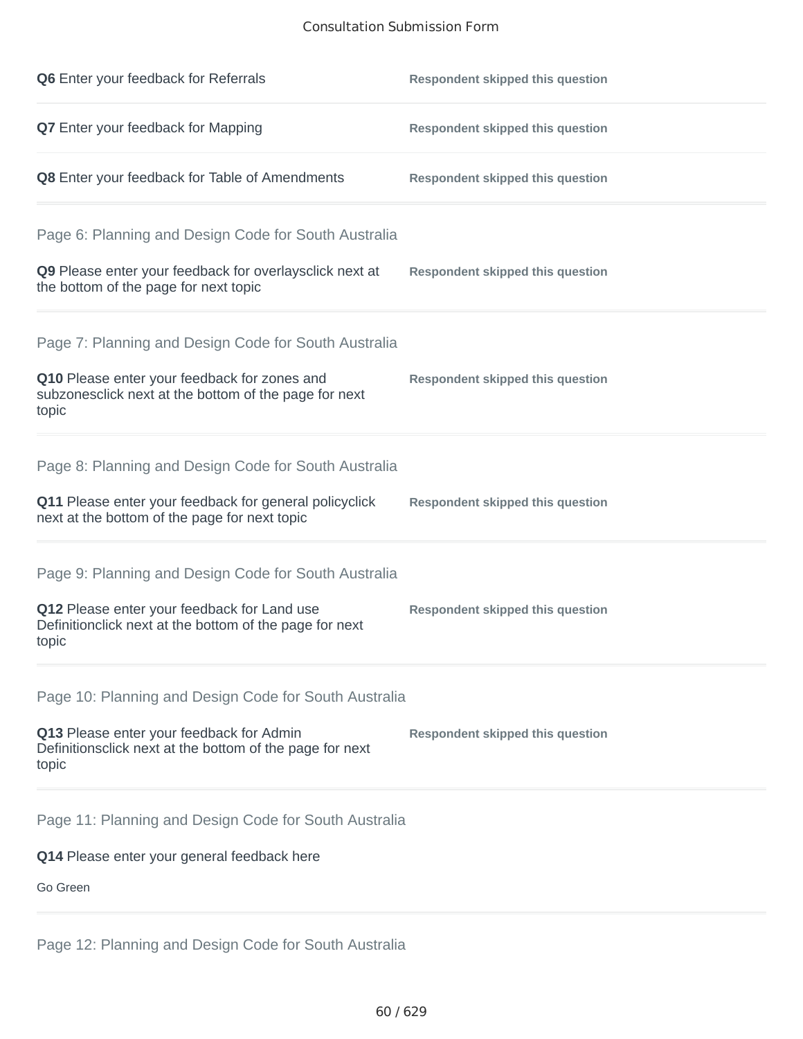## Consultation Submission Form

| Q6 Enter your feedback for Referrals                                                                            | <b>Respondent skipped this question</b> |
|-----------------------------------------------------------------------------------------------------------------|-----------------------------------------|
| Q7 Enter your feedback for Mapping                                                                              | <b>Respondent skipped this question</b> |
| Q8 Enter your feedback for Table of Amendments                                                                  | <b>Respondent skipped this question</b> |
| Page 6: Planning and Design Code for South Australia                                                            |                                         |
| Q9 Please enter your feedback for overlaysclick next at<br>the bottom of the page for next topic                | <b>Respondent skipped this question</b> |
| Page 7: Planning and Design Code for South Australia                                                            |                                         |
| Q10 Please enter your feedback for zones and<br>subzonesclick next at the bottom of the page for next<br>topic  | <b>Respondent skipped this question</b> |
| Page 8: Planning and Design Code for South Australia                                                            |                                         |
| Q11 Please enter your feedback for general policyclick<br>next at the bottom of the page for next topic         | <b>Respondent skipped this question</b> |
| Page 9: Planning and Design Code for South Australia                                                            |                                         |
| Q12 Please enter your feedback for Land use<br>Definitionclick next at the bottom of the page for next<br>topic | <b>Respondent skipped this question</b> |
| Page 10: Planning and Design Code for South Australia                                                           |                                         |
| Q13 Please enter your feedback for Admin<br>Definitionsclick next at the bottom of the page for next<br>topic   | <b>Respondent skipped this question</b> |
| Page 11: Planning and Design Code for South Australia                                                           |                                         |
| Q14 Please enter your general feedback here                                                                     |                                         |
| Go Green                                                                                                        |                                         |
|                                                                                                                 |                                         |

Page 12: Planning and Design Code for South Australia